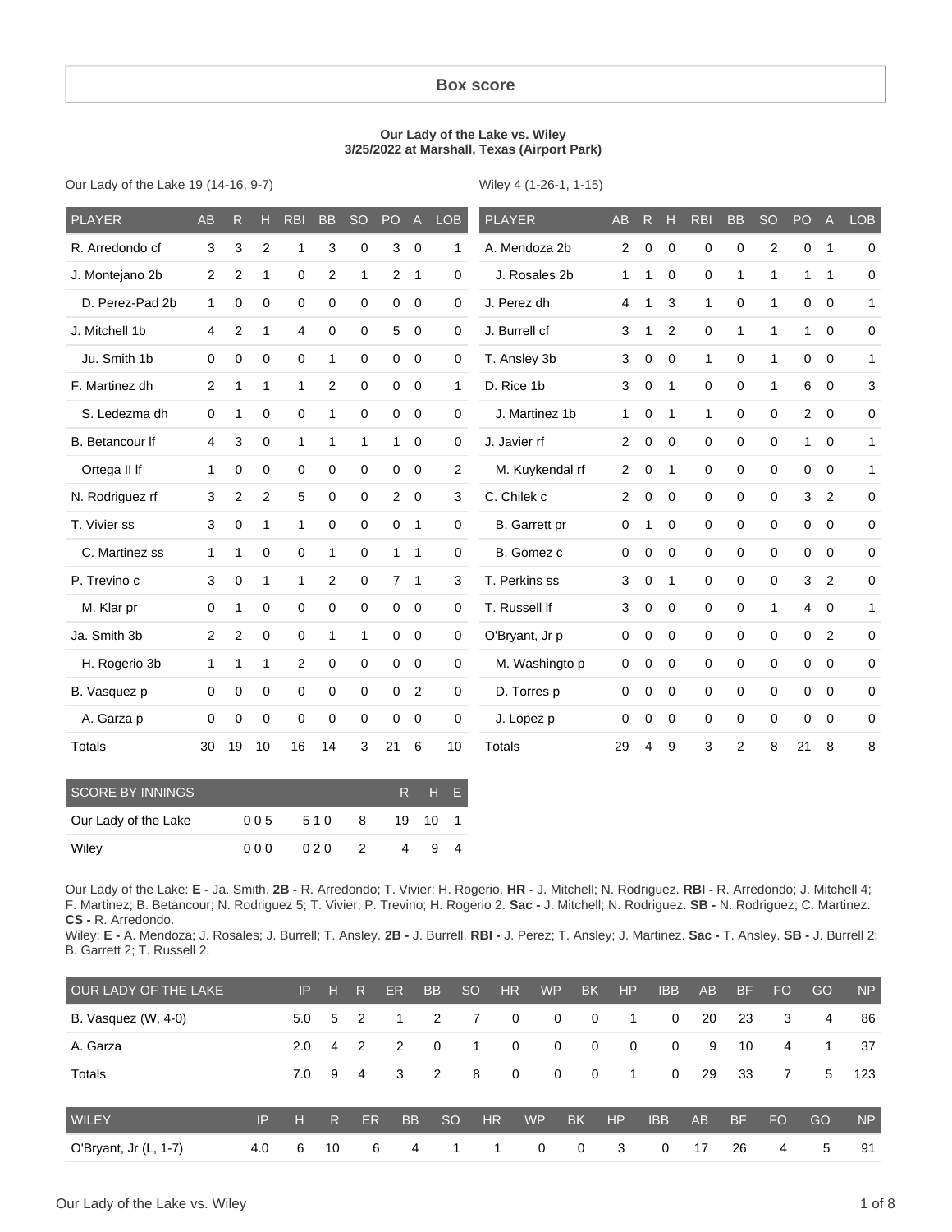### **Box score**

#### **Our Lady of the Lake vs. Wiley 3/25/2022 at Marshall, Texas (Airport Park)**

Our Lady of the Lake 19 (14-16, 9-7)

Wiley 4 (1-26-1, 1-15)

| <b>PLAYER</b>          | <b>AB</b>      | R              | н            | <b>RBI</b>   | <b>BB</b>      | <b>SO</b>    | PO             | $\overline{A}$ | <b>LOB</b>   | <b>PLAYER</b>        | <b>AB</b>   | R           | н            | <b>RBI</b>   | <b>BB</b>      | <b>SO</b>    | PO             | $\overline{A}$ | <b>LOB</b>   |
|------------------------|----------------|----------------|--------------|--------------|----------------|--------------|----------------|----------------|--------------|----------------------|-------------|-------------|--------------|--------------|----------------|--------------|----------------|----------------|--------------|
| R. Arredondo cf        | 3              | 3              | 2            | 1            | 3              | $\mathbf 0$  | 3              | $\mathbf 0$    | 1            | A. Mendoza 2b        | 2           | 0           | $\Omega$     | 0            | 0              | 2            | 0              | $\mathbf 1$    | 0            |
| J. Montejano 2b        | 2              | $\overline{2}$ | 1            | 0            | $\overline{c}$ | 1            | 2              | $\mathbf 1$    | 0            | J. Rosales 2b        | $\mathbf 1$ | 1           | $\Omega$     | 0            | 1              | 1            | 1              | 1              | 0            |
| D. Perez-Pad 2b        | 1              | 0              | 0            | 0            | $\mathbf 0$    | $\mathbf 0$  | $\mathbf 0$    | $\mathbf 0$    | 0            | J. Perez dh          | 4           | 1           | 3            | 1            | $\mathbf 0$    | $\mathbf 1$  | $\mathbf 0$    | 0              | 1            |
| J. Mitchell 1b         | 4              | $\overline{2}$ | 1            | 4            | $\mathbf 0$    | $\mathbf 0$  | 5              | $\mathbf 0$    | 0            | J. Burrell cf        | 3           | 1           | 2            | 0            | 1              | 1            | 1              | $\mathbf 0$    | 0            |
| Ju. Smith 1b           | $\Omega$       | $\mathbf 0$    | $\mathbf 0$  | $\mathbf 0$  | 1              | $\Omega$     | $\mathbf 0$    | $\overline{0}$ | 0            | T. Ansley 3b         | 3           | 0           | $\Omega$     | $\mathbf{1}$ | $\mathbf 0$    | $\mathbf 1$  | $\mathbf 0$    | $\mathbf 0$    | $\mathbf{1}$ |
| F. Martinez dh         | 2              | 1              | $\mathbf{1}$ | 1            | 2              | $\mathbf 0$  | $\mathbf 0$    | $\overline{0}$ | $\mathbf{1}$ | D. Rice 1b           | 3           | $\mathbf 0$ | $\mathbf{1}$ | $\Omega$     | $\mathbf 0$    | $\mathbf{1}$ | 6              | $\mathbf 0$    | 3            |
| S. Ledezma dh          | $\mathbf 0$    | 1              | $\mathbf 0$  | 0            | 1              | $\mathbf 0$  | $\mathbf 0$    | $\mathbf 0$    | 0            | J. Martinez 1b       | $\mathbf 1$ | 0           | $\mathbf{1}$ | 1            | 0              | 0            | $\overline{2}$ | $\mathbf 0$    | 0            |
| <b>B.</b> Betancour If | 4              | 3              | 0            | $\mathbf{1}$ | 1              | $\mathbf{1}$ | 1              | $\mathbf 0$    | 0            | J. Javier rf         | 2           | 0           | $\mathbf 0$  | 0            | 0              | 0            | $\mathbf{1}$   | $\mathbf 0$    | $\mathbf{1}$ |
| Ortega II If           | 1              | 0              | 0            | 0            | 0              | $\mathbf 0$  | 0              | $\mathbf 0$    | 2            | M. Kuykendal rf      | 2           | 0           | $\mathbf 1$  | 0            | 0              | 0            | 0              | 0              | $\mathbf{1}$ |
| N. Rodriguez rf        | 3              | $\overline{2}$ | 2            | 5            | $\mathbf 0$    | $\mathbf 0$  | $\overline{2}$ | $\mathbf 0$    | 3            | C. Chilek c          | 2           | 0           | 0            | 0            | 0              | 0            | 3              | $\overline{2}$ | 0            |
| T. Vivier ss           | 3              | $\mathbf 0$    | 1            | 1            | 0              | $\mathbf 0$  | 0              | $\mathbf 1$    | 0            | <b>B.</b> Garrett pr | 0           | 1           | 0            | 0            | 0              | 0            | $\mathbf 0$    | 0              | 0            |
| C. Martinez ss         | 1              | 1              | 0            | $\mathbf 0$  | 1              | $\mathbf 0$  | 1              | $\mathbf 1$    | 0            | B. Gomez c           | 0           | 0           | $\mathbf 0$  | 0            | $\mathbf 0$    | 0            | $\mathbf 0$    | $\mathbf 0$    | 0            |
| P. Trevino c           | 3              | $\mathbf 0$    | $\mathbf{1}$ | 1            | 2              | $\Omega$     | $7^{\circ}$    | $\overline{1}$ | 3            | T. Perkins ss        | 3           | 0           | $\mathbf{1}$ | $\Omega$     | 0              | $\Omega$     | 3              | $\overline{2}$ | 0            |
| M. Klar pr             | 0              | $\mathbf{1}$   | $\mathbf 0$  | $\mathbf 0$  | $\mathbf 0$    | $\mathbf 0$  | $\mathbf 0$    | $\mathbf 0$    | 0            | T. Russell If        | 3           | 0           | $\mathbf 0$  | 0            | 0              | $\mathbf 1$  | $\overline{4}$ | $\mathbf 0$    | $\mathbf{1}$ |
| Ja. Smith 3b           | $\overline{2}$ | $\overline{2}$ | 0            | 0            | 1              | $\mathbf{1}$ | $\mathbf 0$    | $\mathbf 0$    | 0            | O'Bryant, Jr p       | 0           | 0           | $\mathbf 0$  | 0            | 0              | 0            | $\mathbf 0$    | 2              | 0            |
| H. Rogerio 3b          | 1              | 1              | 1            | 2            | $\mathbf 0$    | $\mathbf 0$  | 0              | $\mathbf 0$    | 0            | M. Washingto p       | 0           | 0           | $\mathbf 0$  | 0            | 0              | 0            | $\mathbf 0$    | 0              | 0            |
| B. Vasquez p           | 0              | 0              | $\mathbf 0$  | 0            | $\mathbf 0$    | $\mathbf 0$  | $\mathbf 0$    | $\overline{2}$ | 0            | D. Torres p          | 0           | 0           | $\mathbf 0$  | 0            | 0              | 0            | 0              | 0              | 0            |
| A. Garza p             | 0              | 0              | 0            | 0            | 0              | $\mathbf 0$  | $\mathbf 0$    | $\mathbf 0$    | 0            | J. Lopez p           | $\Omega$    | 0           | $\mathbf 0$  | 0            | 0              | 0            | 0              | 0              | 0            |
| Totals                 | 30             | 19             | 10           | 16           | 14             | 3            | 21             | 6              | 10           | Totals               | 29          | 4           | 9            | 3            | $\overline{2}$ | 8            | 21             | 8              | 8            |

| SCORE BY INNINGS     |     |     |                |   | R H E   |   |
|----------------------|-----|-----|----------------|---|---------|---|
| Our Lady of the Lake | 005 | 510 | - 8            |   | 19 10 1 |   |
| Wiley                | 000 | 020 | $\overline{2}$ | 4 | -9      | 4 |

Our Lady of the Lake: **E -** Ja. Smith. **2B -** R. Arredondo; T. Vivier; H. Rogerio. **HR -** J. Mitchell; N. Rodriguez. **RBI -** R. Arredondo; J. Mitchell 4; F. Martinez; B. Betancour; N. Rodriguez 5; T. Vivier; P. Trevino; H. Rogerio 2. **Sac -** J. Mitchell; N. Rodriguez. **SB -** N. Rodriguez; C. Martinez. **CS -** R. Arredondo.

Wiley: **E -** A. Mendoza; J. Rosales; J. Burrell; T. Ansley. **2B -** J. Burrell. **RBI -** J. Perez; T. Ansley; J. Martinez. **Sac -** T. Ansley. **SB -** J. Burrell 2; B. Garrett 2; T. Russell 2.

| OUR LADY OF THE LAKE  |     | IP  | н            | R              | ER        | <b>BB</b>     | <sub>SO</sub> | <b>HR</b>    | <b>WP</b>   | <b>BK</b>      | HP          | <b>IBB</b>  | <b>AB</b> | <b>BF</b> | FO.       | GO | <b>NP</b> |
|-----------------------|-----|-----|--------------|----------------|-----------|---------------|---------------|--------------|-------------|----------------|-------------|-------------|-----------|-----------|-----------|----|-----------|
| B. Vasquez (W, 4-0)   |     | 5.0 | 5            | $\overline{2}$ | -1        | 2             | 7             | $\mathbf{0}$ | $\mathbf 0$ | $\overline{0}$ | 1           | $\mathbf 0$ | 20        | 23        | 3         | 4  | 86        |
| A. Garza              |     | 2.0 | 4            | $\overline{2}$ | 2         | $\Omega$      | 1             | $\mathbf 0$  | $\mathbf 0$ | $\mathbf 0$    | $\mathbf 0$ | $\Omega$    | 9         | 10        | 4         | 1  | 37        |
| Totals                |     | 7.0 | 9            | $\overline{4}$ | 3         | 2             | 8             | $\mathbf 0$  | $\mathbf 0$ | $\mathbf 0$    | 1           | 0           | 29        | 33        | 7         | 5  | 123       |
| <b>WILEY</b>          | IP  | н   | $\mathsf{R}$ | <b>ER</b>      | <b>BB</b> | <sub>SO</sub> | HR            |              | <b>WP</b>   | <b>BK</b>      | HP          | <b>IBB</b>  | <b>AB</b> | <b>BF</b> | <b>FO</b> | GO | <b>NP</b> |
| O'Bryant, Jr (L, 1-7) | 4.0 | 6   | 10           | 6              |           | 4             |               |              | 0           | 0              | 3           | 0           | 17        | 26        | 4         | 5  | 91        |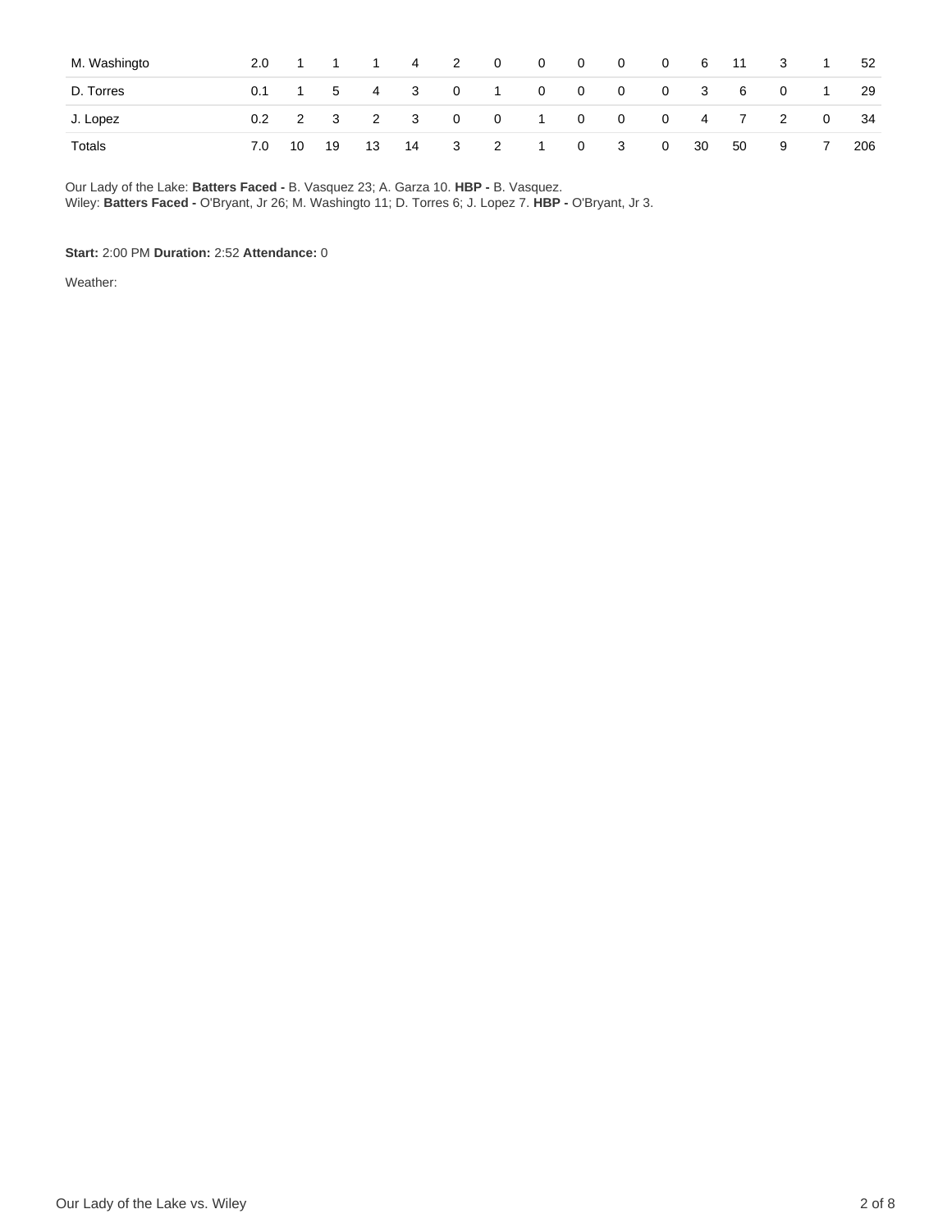| M. Washingto | 2.0 <sub>1</sub> |  | 1 1 1 4 2 | 0 0 0 0 0 6 11 3              |  |          |  |      |                                          | $\overline{1}$ | 52  |
|--------------|------------------|--|-----------|-------------------------------|--|----------|--|------|------------------------------------------|----------------|-----|
| D. Torres    |                  |  |           | 0.1 1 5 4 3 0 1 0 0 0 0 3 6   |  |          |  |      | $\begin{array}{ccc} & & 0 & \end{array}$ | $\overline{1}$ | -29 |
| J. Lopez     |                  |  |           | 0.2 2 3 2 3 0 0 1 0 0 0 4 7 2 |  |          |  |      |                                          | $\overline{0}$ | 34  |
| Totals       |                  |  |           | 7.0 10 19 13 14 3 2 1         |  | 0 3 0 30 |  | - 50 | $9 \t 7$                                 |                | 206 |

Our Lady of the Lake: **Batters Faced -** B. Vasquez 23; A. Garza 10. **HBP -** B. Vasquez. Wiley: **Batters Faced -** O'Bryant, Jr 26; M. Washingto 11; D. Torres 6; J. Lopez 7. **HBP -** O'Bryant, Jr 3.

### **Start:** 2:00 PM **Duration:** 2:52 **Attendance:** 0

Weather: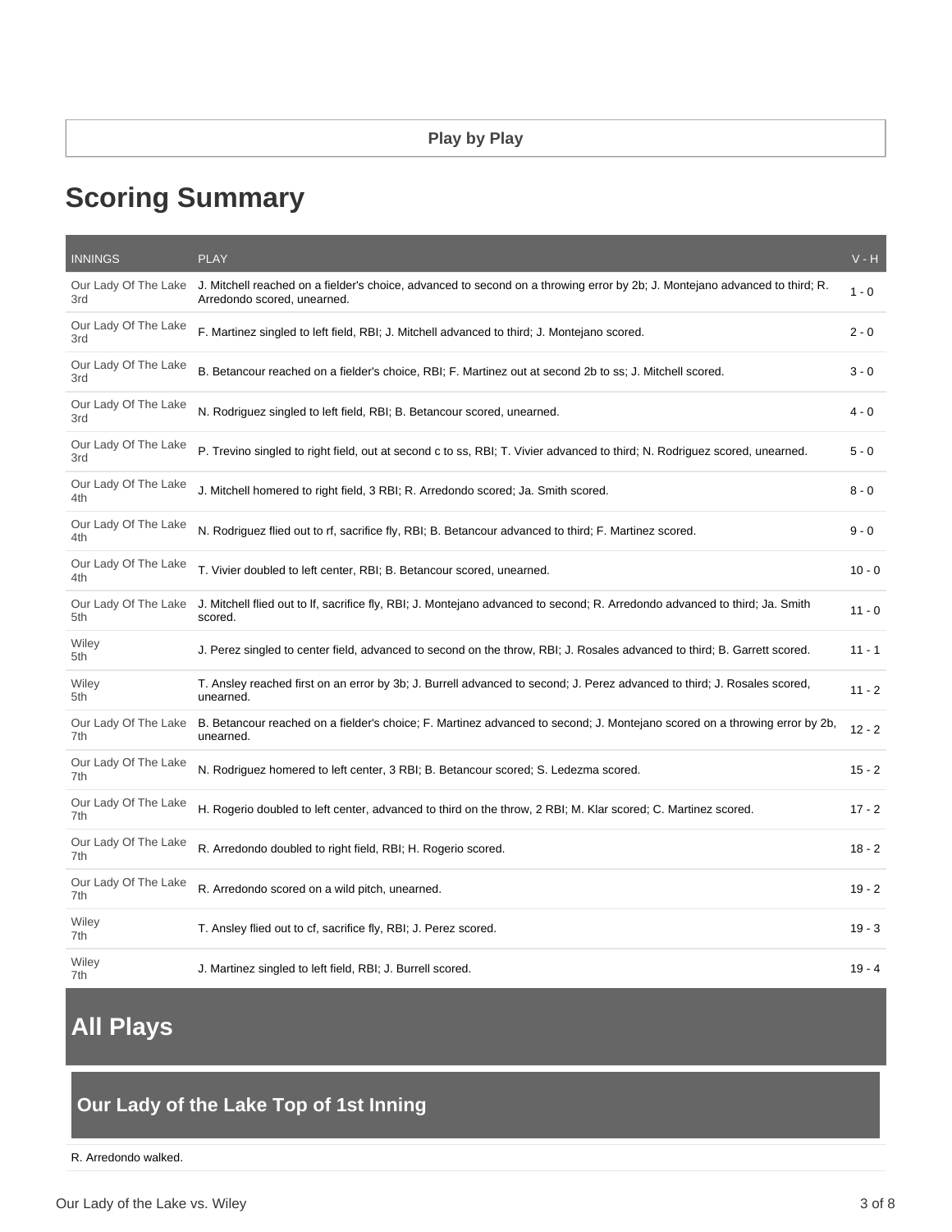# **Scoring Summary**

| <b>INNINGS</b>              | <b>PLAY</b>                                                                                                                                                | $V - H$  |
|-----------------------------|------------------------------------------------------------------------------------------------------------------------------------------------------------|----------|
| Our Lady Of The Lake<br>3rd | J. Mitchell reached on a fielder's choice, advanced to second on a throwing error by 2b; J. Montejano advanced to third; R.<br>Arredondo scored, unearned. | $1 - 0$  |
| Our Lady Of The Lake<br>3rd | F. Martinez singled to left field, RBI; J. Mitchell advanced to third; J. Montejano scored.                                                                | $2 - 0$  |
| Our Lady Of The Lake<br>3rd | B. Betancour reached on a fielder's choice, RBI; F. Martinez out at second 2b to ss; J. Mitchell scored.                                                   | $3 - 0$  |
| Our Lady Of The Lake<br>3rd | N. Rodriguez singled to left field, RBI; B. Betancour scored, unearned.                                                                                    | $4 - 0$  |
| Our Lady Of The Lake<br>3rd | P. Trevino singled to right field, out at second c to ss, RBI; T. Vivier advanced to third; N. Rodriguez scored, unearned.                                 | $5 - 0$  |
| Our Lady Of The Lake<br>4th | J. Mitchell homered to right field, 3 RBI; R. Arredondo scored; Ja. Smith scored.                                                                          | $8 - 0$  |
| Our Lady Of The Lake<br>4th | N. Rodriguez flied out to rf, sacrifice fly, RBI; B. Betancour advanced to third; F. Martinez scored.                                                      | $9 - 0$  |
| Our Lady Of The Lake<br>4th | T. Vivier doubled to left center, RBI; B. Betancour scored, unearned.                                                                                      | $10 - 0$ |
| Our Lady Of The Lake<br>5th | J. Mitchell flied out to If, sacrifice fly, RBI; J. Montejano advanced to second; R. Arredondo advanced to third; Ja. Smith<br>scored.                     | $11 - 0$ |
| Wiley<br>5th                | J. Perez singled to center field, advanced to second on the throw, RBI; J. Rosales advanced to third; B. Garrett scored.                                   | $11 - 1$ |
| Wiley<br>5th                | T. Ansley reached first on an error by 3b; J. Burrell advanced to second; J. Perez advanced to third; J. Rosales scored,<br>unearned.                      | $11 - 2$ |
| Our Lady Of The Lake<br>7th | B. Betancour reached on a fielder's choice; F. Martinez advanced to second; J. Montejano scored on a throwing error by 2b,<br>unearned.                    | $12 - 2$ |
| Our Lady Of The Lake<br>7th | N. Rodriguez homered to left center, 3 RBI; B. Betancour scored; S. Ledezma scored.                                                                        | $15 - 2$ |
| Our Lady Of The Lake<br>7th | H. Rogerio doubled to left center, advanced to third on the throw, 2 RBI; M. Klar scored; C. Martinez scored.                                              | $17 - 2$ |
| Our Lady Of The Lake<br>7th | R. Arredondo doubled to right field, RBI; H. Rogerio scored.                                                                                               | $18 - 2$ |
| Our Lady Of The Lake<br>7th | R. Arredondo scored on a wild pitch, unearned.                                                                                                             | $19 - 2$ |
| Wiley<br>7th                | T. Ansley flied out to cf, sacrifice fly, RBI; J. Perez scored.                                                                                            | $19 - 3$ |
| Wiley<br>7th                | J. Martinez singled to left field, RBI; J. Burrell scored.                                                                                                 | $19 - 4$ |

# **All Plays**

# **Our Lady of the Lake Top of 1st Inning**

R. Arredondo walked.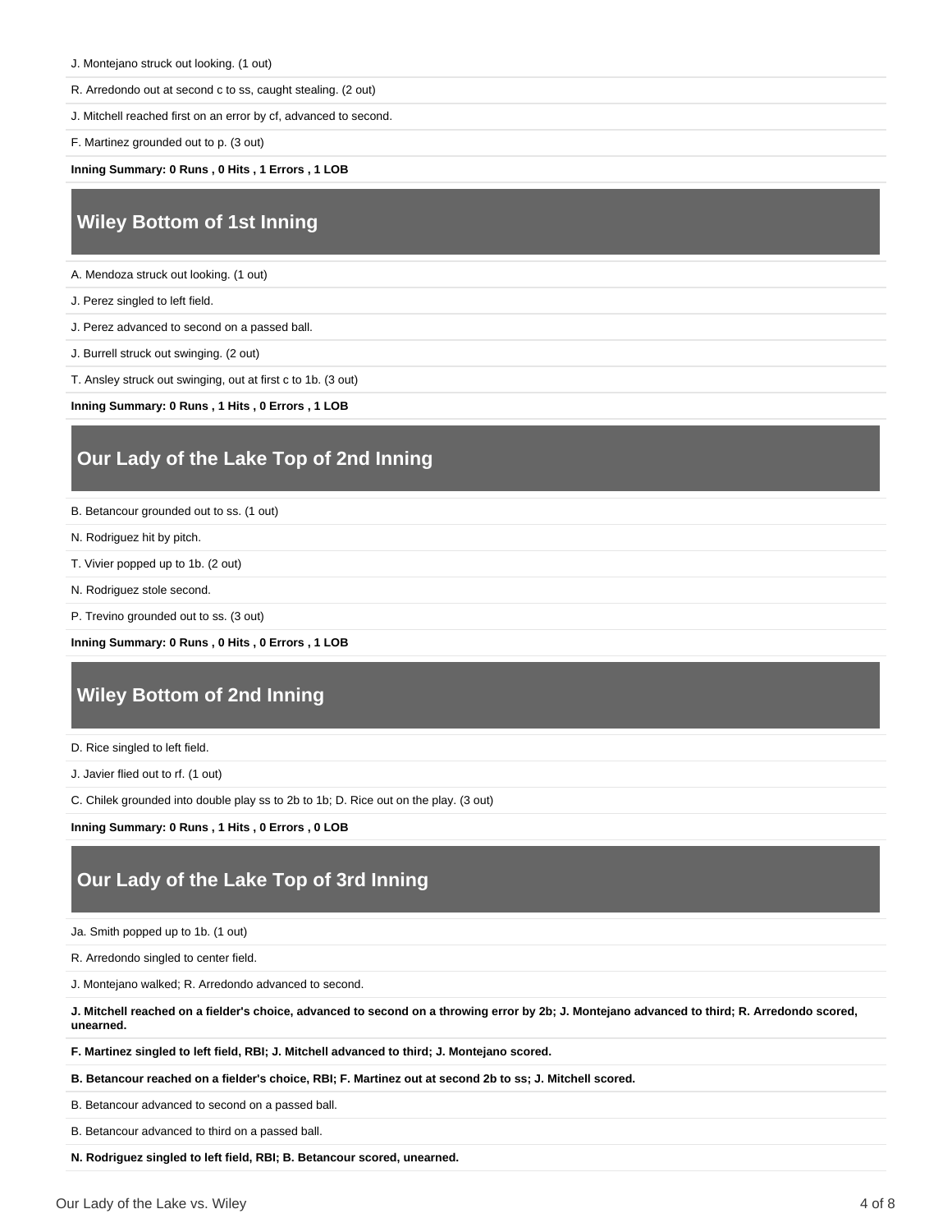R. Arredondo out at second c to ss, caught stealing. (2 out)

J. Mitchell reached first on an error by cf, advanced to second.

F. Martinez grounded out to p. (3 out)

**Inning Summary: 0 Runs , 0 Hits , 1 Errors , 1 LOB**

### **Wiley Bottom of 1st Inning**

A. Mendoza struck out looking. (1 out)

J. Perez singled to left field.

J. Perez advanced to second on a passed ball.

J. Burrell struck out swinging. (2 out)

T. Ansley struck out swinging, out at first c to 1b. (3 out)

**Inning Summary: 0 Runs , 1 Hits , 0 Errors , 1 LOB**

## **Our Lady of the Lake Top of 2nd Inning**

B. Betancour grounded out to ss. (1 out)

- N. Rodriguez hit by pitch.
- T. Vivier popped up to 1b. (2 out)
- N. Rodriguez stole second.
- P. Trevino grounded out to ss. (3 out)

**Inning Summary: 0 Runs , 0 Hits , 0 Errors , 1 LOB**

### **Wiley Bottom of 2nd Inning**

D. Rice singled to left field.

J. Javier flied out to rf. (1 out)

C. Chilek grounded into double play ss to 2b to 1b; D. Rice out on the play. (3 out)

**Inning Summary: 0 Runs , 1 Hits , 0 Errors , 0 LOB**

### **Our Lady of the Lake Top of 3rd Inning**

Ja. Smith popped up to 1b. (1 out)

R. Arredondo singled to center field.

J. Montejano walked; R. Arredondo advanced to second.

**J. Mitchell reached on a fielder's choice, advanced to second on a throwing error by 2b; J. Montejano advanced to third; R. Arredondo scored, unearned.**

**F. Martinez singled to left field, RBI; J. Mitchell advanced to third; J. Montejano scored.**

**B. Betancour reached on a fielder's choice, RBI; F. Martinez out at second 2b to ss; J. Mitchell scored.**

B. Betancour advanced to second on a passed ball.

B. Betancour advanced to third on a passed ball.

**N. Rodriguez singled to left field, RBI; B. Betancour scored, unearned.**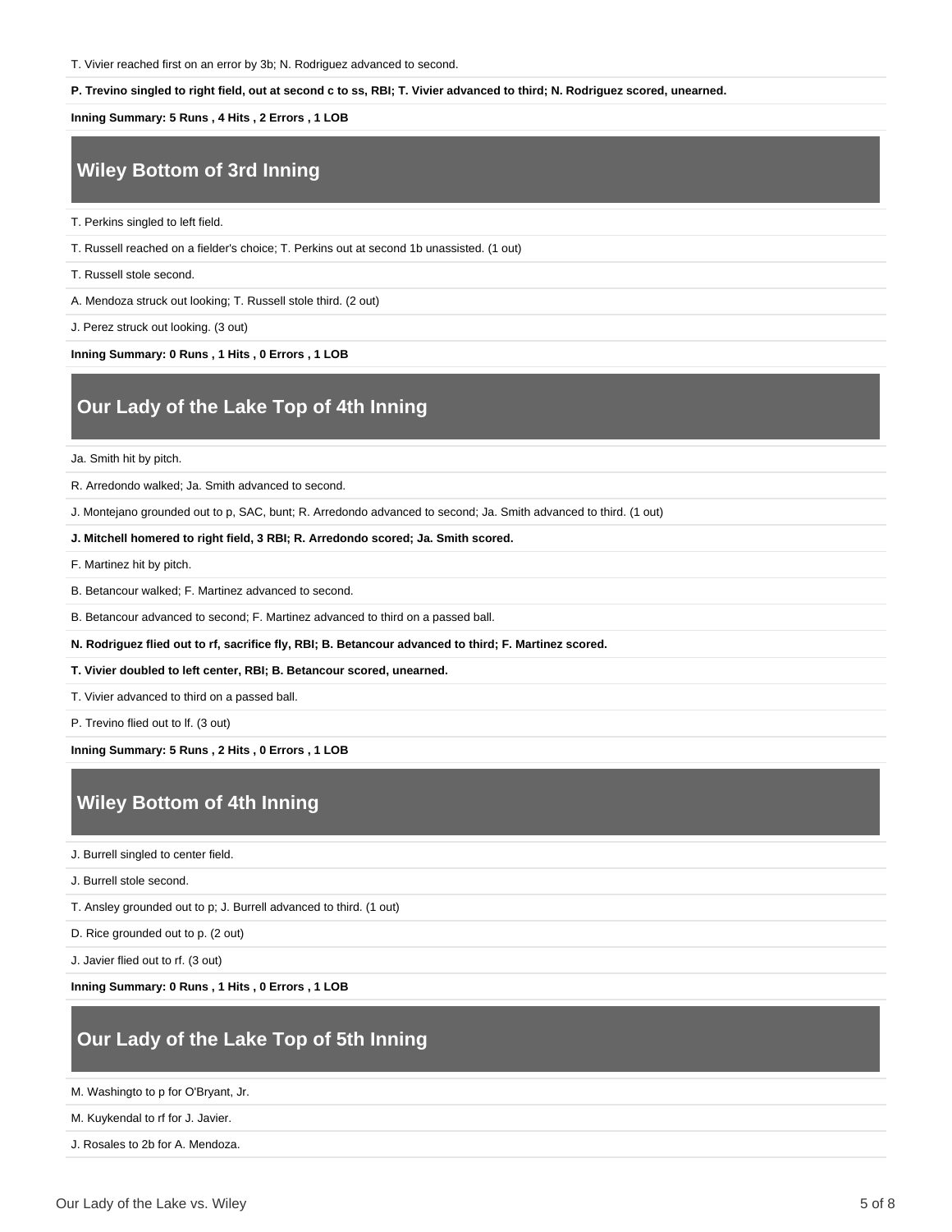T. Vivier reached first on an error by 3b; N. Rodriguez advanced to second.

#### **P. Trevino singled to right field, out at second c to ss, RBI; T. Vivier advanced to third; N. Rodriguez scored, unearned.**

**Inning Summary: 5 Runs , 4 Hits , 2 Errors , 1 LOB**

# **Wiley Bottom of 3rd Inning**

T. Perkins singled to left field.

T. Russell reached on a fielder's choice; T. Perkins out at second 1b unassisted. (1 out)

T. Russell stole second.

A. Mendoza struck out looking; T. Russell stole third. (2 out)

J. Perez struck out looking. (3 out)

**Inning Summary: 0 Runs , 1 Hits , 0 Errors , 1 LOB**

### **Our Lady of the Lake Top of 4th Inning**

#### Ja. Smith hit by pitch.

R. Arredondo walked; Ja. Smith advanced to second.

J. Montejano grounded out to p, SAC, bunt; R. Arredondo advanced to second; Ja. Smith advanced to third. (1 out)

**J. Mitchell homered to right field, 3 RBI; R. Arredondo scored; Ja. Smith scored.**

F. Martinez hit by pitch.

B. Betancour walked; F. Martinez advanced to second.

B. Betancour advanced to second; F. Martinez advanced to third on a passed ball.

**N. Rodriguez flied out to rf, sacrifice fly, RBI; B. Betancour advanced to third; F. Martinez scored.**

**T. Vivier doubled to left center, RBI; B. Betancour scored, unearned.**

T. Vivier advanced to third on a passed ball.

P. Trevino flied out to lf. (3 out)

**Inning Summary: 5 Runs , 2 Hits , 0 Errors , 1 LOB**

### **Wiley Bottom of 4th Inning**

J. Burrell singled to center field.

J. Burrell stole second.

T. Ansley grounded out to p; J. Burrell advanced to third. (1 out)

D. Rice grounded out to p. (2 out)

J. Javier flied out to rf. (3 out)

**Inning Summary: 0 Runs , 1 Hits , 0 Errors , 1 LOB**

### **Our Lady of the Lake Top of 5th Inning**

M. Washingto to p for O'Bryant, Jr.

M. Kuykendal to rf for J. Javier.

J. Rosales to 2b for A. Mendoza.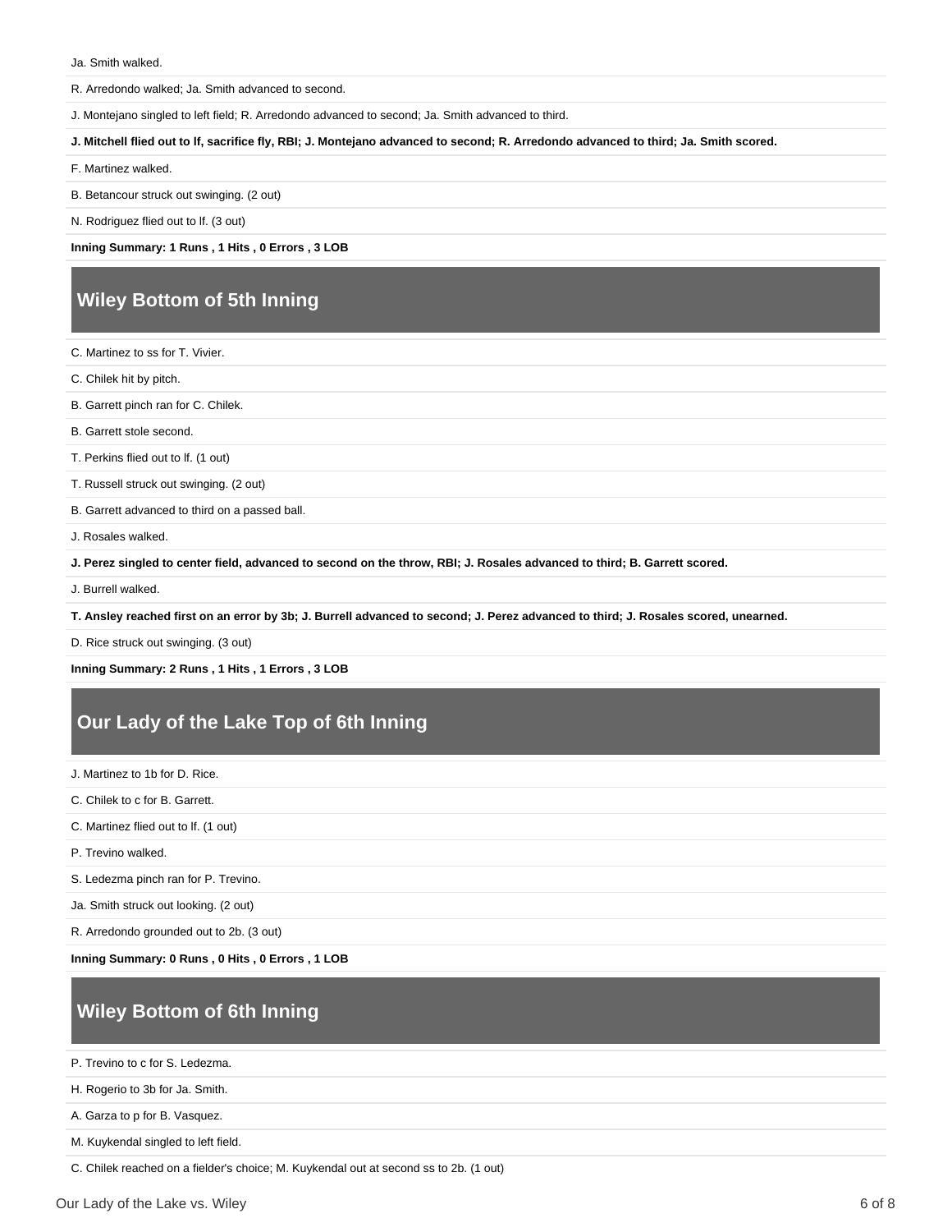R. Arredondo walked; Ja. Smith advanced to second.

J. Montejano singled to left field; R. Arredondo advanced to second; Ja. Smith advanced to third.

**J. Mitchell flied out to lf, sacrifice fly, RBI; J. Montejano advanced to second; R. Arredondo advanced to third; Ja. Smith scored.**

F. Martinez walked.

B. Betancour struck out swinging. (2 out)

N. Rodriguez flied out to lf. (3 out)

**Inning Summary: 1 Runs , 1 Hits , 0 Errors , 3 LOB**

### **Wiley Bottom of 5th Inning**

- C. Martinez to ss for T. Vivier.
- C. Chilek hit by pitch.
- B. Garrett pinch ran for C. Chilek.
- B. Garrett stole second.

T. Perkins flied out to lf. (1 out)

T. Russell struck out swinging. (2 out)

B. Garrett advanced to third on a passed ball.

J. Rosales walked.

**J. Perez singled to center field, advanced to second on the throw, RBI; J. Rosales advanced to third; B. Garrett scored.**

J. Burrell walked.

**T. Ansley reached first on an error by 3b; J. Burrell advanced to second; J. Perez advanced to third; J. Rosales scored, unearned.**

D. Rice struck out swinging. (3 out)

**Inning Summary: 2 Runs , 1 Hits , 1 Errors , 3 LOB**

### **Our Lady of the Lake Top of 6th Inning**

J. Martinez to 1b for D. Rice.

C. Chilek to c for B. Garrett.

C. Martinez flied out to lf. (1 out)

P. Trevino walked.

S. Ledezma pinch ran for P. Trevino.

Ja. Smith struck out looking. (2 out)

R. Arredondo grounded out to 2b. (3 out)

**Inning Summary: 0 Runs , 0 Hits , 0 Errors , 1 LOB**

## **Wiley Bottom of 6th Inning**

P. Trevino to c for S. Ledezma.

H. Rogerio to 3b for Ja. Smith.

A. Garza to p for B. Vasquez.

M. Kuykendal singled to left field.

C. Chilek reached on a fielder's choice; M. Kuykendal out at second ss to 2b. (1 out)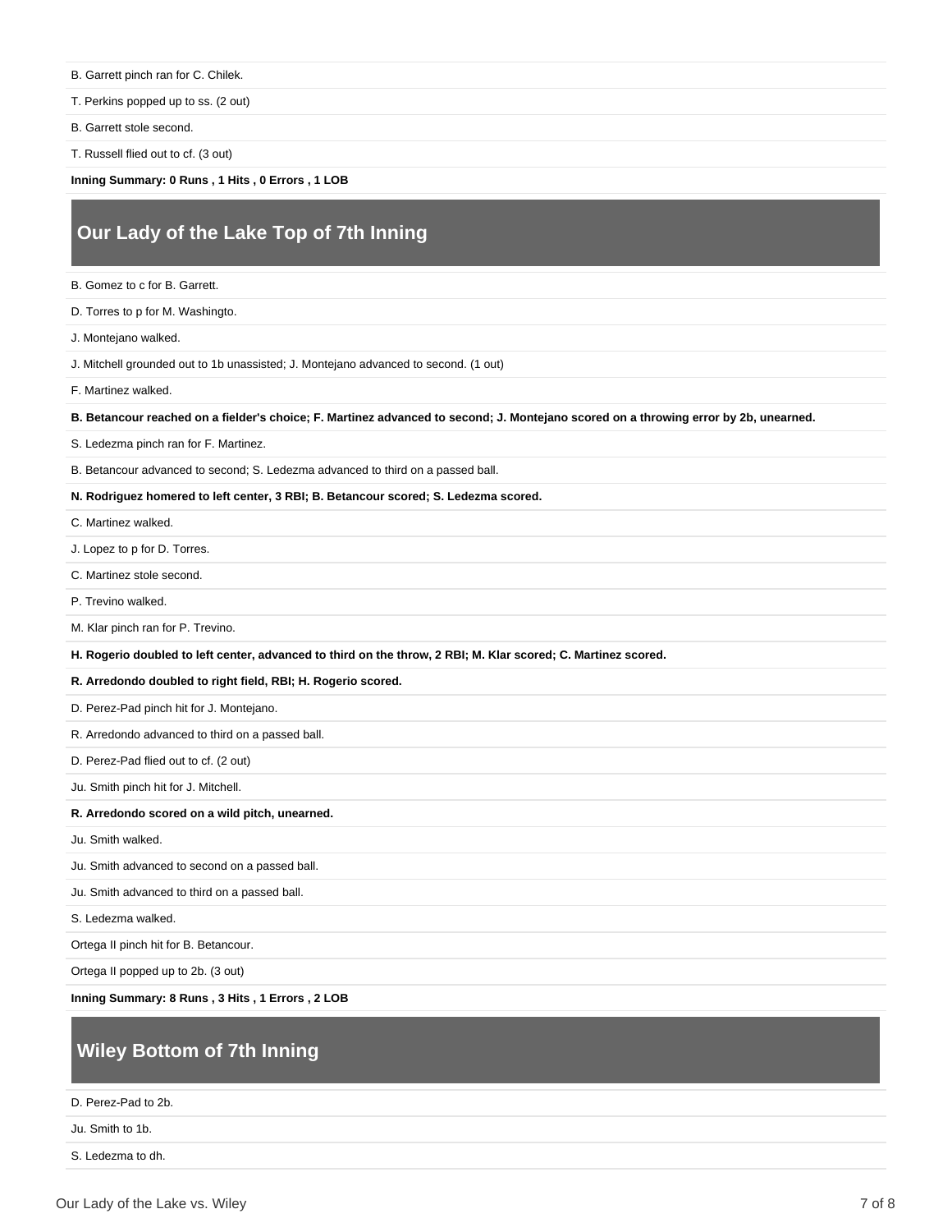B. Garrett pinch ran for C. Chilek.

T. Perkins popped up to ss. (2 out)

- B. Garrett stole second.
- T. Russell flied out to cf. (3 out)

**Inning Summary: 0 Runs , 1 Hits , 0 Errors , 1 LOB**

### **Our Lady of the Lake Top of 7th Inning**

- B. Gomez to c for B. Garrett.
- D. Torres to p for M. Washingto.
- J. Montejano walked.
- J. Mitchell grounded out to 1b unassisted; J. Montejano advanced to second. (1 out)
- F. Martinez walked.

**B. Betancour reached on a fielder's choice; F. Martinez advanced to second; J. Montejano scored on a throwing error by 2b, unearned.**

- S. Ledezma pinch ran for F. Martinez.
- B. Betancour advanced to second; S. Ledezma advanced to third on a passed ball.

#### **N. Rodriguez homered to left center, 3 RBI; B. Betancour scored; S. Ledezma scored.**

- C. Martinez walked.
- J. Lopez to p for D. Torres.
- C. Martinez stole second.
- P. Trevino walked.
- M. Klar pinch ran for P. Trevino.
- **H. Rogerio doubled to left center, advanced to third on the throw, 2 RBI; M. Klar scored; C. Martinez scored.**

#### **R. Arredondo doubled to right field, RBI; H. Rogerio scored.**

- D. Perez-Pad pinch hit for J. Montejano.
- R. Arredondo advanced to third on a passed ball.
- D. Perez-Pad flied out to cf. (2 out)
- Ju. Smith pinch hit for J. Mitchell.

### **R. Arredondo scored on a wild pitch, unearned.**

- Ju. Smith walked.
- Ju. Smith advanced to second on a passed ball.
- Ju. Smith advanced to third on a passed ball.

S. Ledezma walked.

Ortega II pinch hit for B. Betancour.

Ortega II popped up to 2b. (3 out)

**Inning Summary: 8 Runs , 3 Hits , 1 Errors , 2 LOB**

### **Wiley Bottom of 7th Inning**

D. Perez-Pad to 2b.

Ju. Smith to 1b.

S. Ledezma to dh.